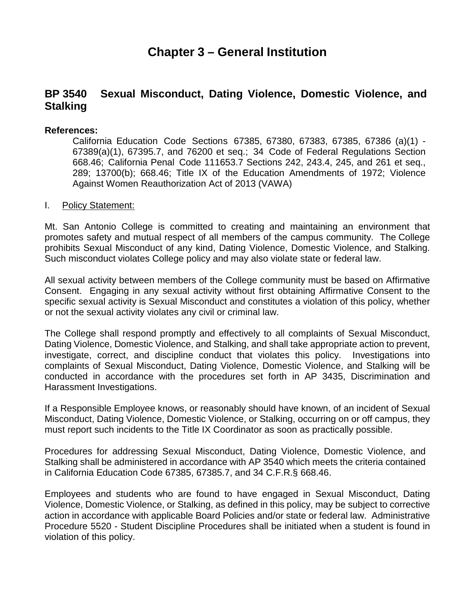# **Chapter 3 – General Institution**

## **BP 3540 Sexual Misconduct, Dating Violence, Domestic Violence, and Stalking**

### **References:**

California Education Code Sections 67385, 67380, 67383, 67385, 67386 (a)(1) - 67389(a)(1), 67395.7, and 76200 et seq.; 34 Code of Federal Regulations Section 668.46; California Penal Code 111653.7 Sections 242, 243.4, 245, and 261 et seq., 289; 13700(b); 668.46; Title IX of the Education Amendments of 1972; Violence Against Women Reauthorization Act of 2013 (VAWA)

#### I. Policy Statement:

Mt. San Antonio College is committed to creating and maintaining an environment that promotes safety and mutual respect of all members of the campus community. The College prohibits Sexual Misconduct of any kind, Dating Violence, Domestic Violence, and Stalking. Such misconduct violates College policy and may also violate state or federal law.

All sexual activity between members of the College community must be based on Affirmative Consent. Engaging in any sexual activity without first obtaining Affirmative Consent to the specific sexual activity is Sexual Misconduct and constitutes a violation of this policy, whether or not the sexual activity violates any civil or criminal law.

The College shall respond promptly and effectively to all complaints of Sexual Misconduct, Dating Violence, Domestic Violence, and Stalking, and shall take appropriate action to prevent, investigate, correct, and discipline conduct that violates this policy. Investigations into complaints of Sexual Misconduct, Dating Violence, Domestic Violence, and Stalking will be conducted in accordance with the procedures set forth in AP 3435, Discrimination and Harassment Investigations.

If a Responsible Employee knows, or reasonably should have known, of an incident of Sexual Misconduct, Dating Violence, Domestic Violence, or Stalking, occurring on or off campus, they must report such incidents to the Title IX Coordinator as soon as practically possible.

Procedures for addressing Sexual Misconduct, Dating Violence, Domestic Violence, and Stalking shall be administered in accordance with AP 3540 which meets the criteria contained in California Education Code 67385, 67385.7, and 34 C.F.R.§ 668.46.

Employees and students who are found to have engaged in Sexual Misconduct, Dating Violence, Domestic Violence, or Stalking, as defined in this policy, may be subject to corrective action in accordance with applicable Board Policies and/or state or federal law. Administrative Procedure 5520 - Student Discipline Procedures shall be initiated when a student is found in violation of this policy.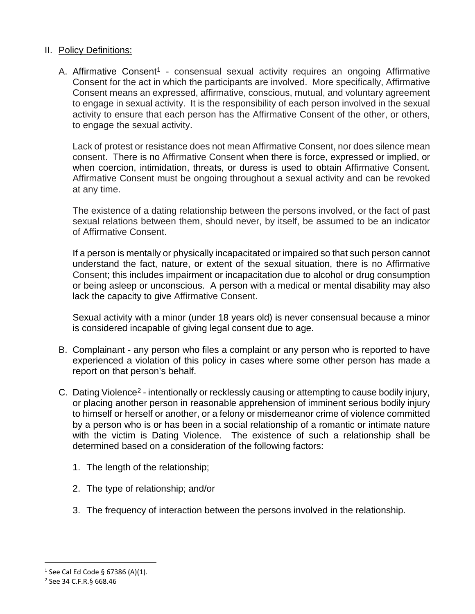### II. Policy Definitions:

A. Affirmative Consent<sup>1</sup> - consensual sexual activity requires an ongoing Affirmative Consent for the act in which the participants are involved. More specifically, Affirmative Consent means an expressed, affirmative, conscious, mutual, and voluntary agreement to engage in sexual activity. It is the responsibility of each person involved in the sexual activity to ensure that each person has the Affirmative Consent of the other, or others, to engage the sexual activity.

Lack of protest or resistance does not mean Affirmative Consent, nor does silence mean consent. There is no Affirmative Consent when there is force, expressed or implied, or when coercion, intimidation, threats, or duress is used to obtain Affirmative Consent. Affirmative Consent must be ongoing throughout a sexual activity and can be revoked at any time.

The existence of a dating relationship between the persons involved, or the fact of past sexual relations between them, should never, by itself, be assumed to be an indicator of Affirmative Consent.

If a person is mentally or physically incapacitated or impaired so that such person cannot understand the fact, nature, or extent of the sexual situation, there is no Affirmative Consent; this includes impairment or incapacitation due to alcohol or drug consumption or being asleep or unconscious. A person with a medical or mental disability may also lack the capacity to give Affirmative Consent.

Sexual activity with a minor (under 18 years old) is never consensual because a minor is considered incapable of giving legal consent due to age.

- B. Complainant any person who files a complaint or any person who is reported to have experienced a violation of this policy in cases where some other person has made a report on that person's behalf.
- C. Dating Violence[2](#page-1-1)  intentionally or recklessly causing or attempting to cause bodily injury, or placing another person in reasonable apprehension of imminent serious bodily injury to himself or herself or another, or a felony or misdemeanor crime of violence committed by a person who is or has been in a social relationship of a romantic or intimate nature with the victim is Dating Violence. The existence of such a relationship shall be determined based on a consideration of the following factors:
	- 1. The length of the relationship;
	- 2. The type of relationship; and/or
	- 3. The frequency of interaction between the persons involved in the relationship.

<span id="page-1-0"></span><sup>&</sup>lt;sup>1</sup> See Cal Ed Code § 67386 (A)(1).

<span id="page-1-1"></span><sup>2</sup> See 34 C.F.R.§ 668.46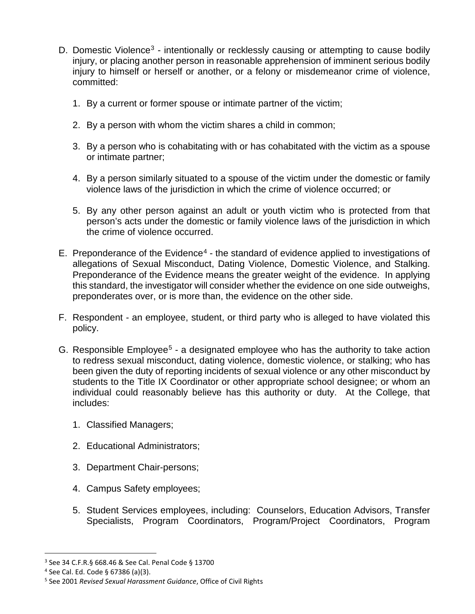- D. Domestic Violence<sup>3</sup> intentionally or recklessly causing or attempting to cause bodily injury, or placing another person in reasonable apprehension of imminent serious bodily injury to himself or herself or another, or a felony or misdemeanor crime of violence, committed:
	- 1. By a current or former spouse or intimate partner of the victim;
	- 2. By a person with whom the victim shares a child in common;
	- 3. By a person who is cohabitating with or has cohabitated with the victim as a spouse or intimate partner;
	- 4. By a person similarly situated to a spouse of the victim under the domestic or family violence laws of the jurisdiction in which the crime of violence occurred; or
	- 5. By any other person against an adult or youth victim who is protected from that person's acts under the domestic or family violence laws of the jurisdiction in which the crime of violence occurred.
- E. Preponderance of the Evidence<sup>4</sup> the standard of evidence applied to investigations of allegations of Sexual Misconduct, Dating Violence, Domestic Violence, and Stalking. Preponderance of the Evidence means the greater weight of the evidence. In applying this standard, the investigator will consider whether the evidence on one side outweighs, preponderates over, or is more than, the evidence on the other side.
- F. Respondent an employee, student, or third party who is alleged to have violated this policy.
- G. Responsible Employee<sup>5</sup> a designated employee who has the authority to take action to redress sexual misconduct, dating violence, domestic violence, or stalking; who has been given the duty of reporting incidents of sexual violence or any other misconduct by students to the Title IX Coordinator or other appropriate school designee; or whom an individual could reasonably believe has this authority or duty. At the College, that includes:
	- 1. Classified Managers;
	- 2. Educational Administrators;
	- 3. Department Chair-persons;
	- 4. Campus Safety employees;
	- 5. Student Services employees, including: Counselors, Education Advisors, Transfer Specialists, Program Coordinators, Program/Project Coordinators, Program

<span id="page-2-0"></span><sup>3</sup> See 34 C.F.R.§ 668.46 & See Cal. Penal Code § 13700

<span id="page-2-1"></span> $4$  See Cal. Ed. Code § 67386 (a)(3).

<span id="page-2-2"></span><sup>5</sup> See 2001 *Revised Sexual Harassment Guidance*, Office of Civil Rights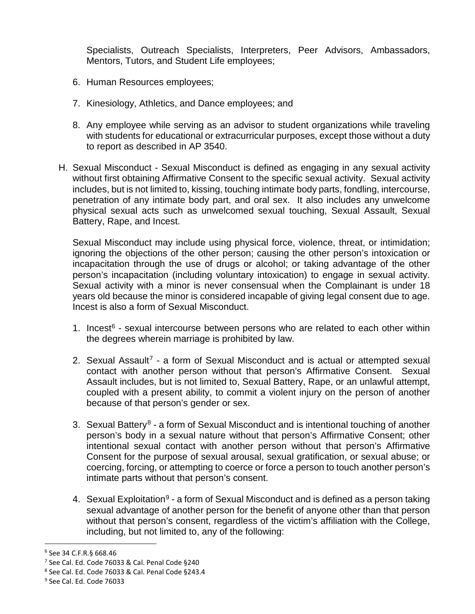Specialists, Outreach Specialists, Interpreters, Peer Advisors, Ambassadors, Mentors, Tutors, and Student Life employees;

- 6. Human Resources employees;
- 7. Kinesiology, Athletics, and Dance employees; and
- 8. Any employee while serving as an advisor to student organizations while traveling with students for educational or extracurricular purposes, except those without a duty to report as described in AP 3540.
- H. Sexual Misconduct Sexual Misconduct is defined as engaging in any sexual activity without first obtaining Affirmative Consent to the specific sexual activity. Sexual activity includes, but is not limited to, kissing, touching intimate body parts, fondling, intercourse, penetration of any intimate body part, and oral sex. It also includes any unwelcome physical sexual acts such as unwelcomed sexual touching, Sexual Assault, Sexual Battery, Rape, and Incest.

Sexual Misconduct may include using physical force, violence, threat, or intimidation; ignoring the objections of the other person; causing the other person's intoxication or incapacitation through the use of drugs or alcohol; or taking advantage of the other person's incapacitation (including voluntary intoxication) to engage in sexual activity. Sexual activity with a minor is never consensual when the Complainant is under 18 years old because the minor is considered incapable of giving legal consent due to age. Incest is also a form of Sexual Misconduct.

- 1. Incest $6$  sexual intercourse between persons who are related to each other within the degrees wherein marriage is prohibited by law.
- 2. Sexual Assault<sup>[7](#page-3-1)</sup> a form of Sexual Misconduct and is actual or attempted sexual contact with another person without that person's Affirmative Consent. Sexual Assault includes, but is not limited to, Sexual Battery, Rape, or an unlawful attempt, coupled with a present ability, to commit a violent injury on the person of another because of that person's gender or sex.
- 3. Sexual Battery<sup>8</sup> a form of Sexual Misconduct and is intentional touching of another person's body in a sexual nature without that person's Affirmative Consent; other intentional sexual contact with another person without that person's Affirmative Consent for the purpose of sexual arousal, sexual gratification, or sexual abuse; or coercing, forcing, or attempting to coerce or force a person to touch another person's intimate parts without that person's consent.
- 4. Sexual Exploitation<sup>[9](#page-3-3)</sup> a form of Sexual Misconduct and is defined as a person taking sexual advantage of another person for the benefit of anyone other than that person without that person's consent, regardless of the victim's affiliation with the College, including, but not limited to, any of the following:

<span id="page-3-0"></span><sup>6</sup> See 34 C.F.R.§ 668.46

<span id="page-3-1"></span><sup>7</sup> See Cal. Ed. Code 76033 & Cal. Penal Code §240

<span id="page-3-2"></span><sup>8</sup> See Cal. Ed. Code 76033 & Cal. Penal Code §243.4

<span id="page-3-3"></span><sup>9</sup> See Cal. Ed. Code 76033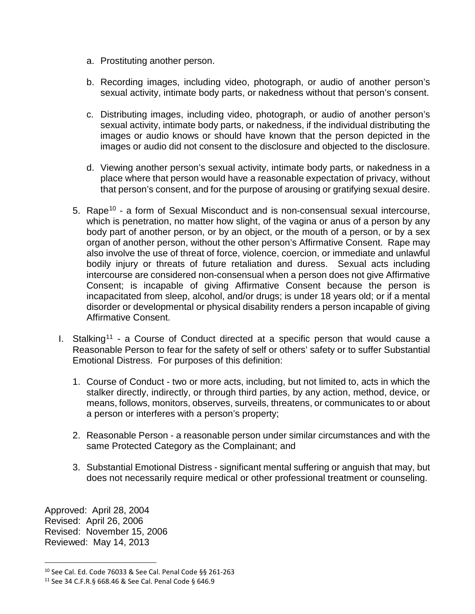- a. Prostituting another person.
- b. Recording images, including video, photograph, or audio of another person's sexual activity, intimate body parts, or nakedness without that person's consent.
- c. Distributing images, including video, photograph, or audio of another person's sexual activity, intimate body parts, or nakedness, if the individual distributing the images or audio knows or should have known that the person depicted in the images or audio did not consent to the disclosure and objected to the disclosure.
- d. Viewing another person's sexual activity, intimate body parts, or nakedness in a place where that person would have a reasonable expectation of privacy, without that person's consent, and for the purpose of arousing or gratifying sexual desire.
- 5. Rape<sup>10</sup> a form of Sexual Misconduct and is non-consensual sexual intercourse, which is penetration, no matter how slight, of the vagina or anus of a person by any body part of another person, or by an object, or the mouth of a person, or by a sex organ of another person, without the other person's Affirmative Consent. Rape may also involve the use of threat of force, violence, coercion, or immediate and unlawful bodily injury or threats of future retaliation and duress. Sexual acts including intercourse are considered non-consensual when a person does not give Affirmative Consent; is incapable of giving Affirmative Consent because the person is incapacitated from sleep, alcohol, and/or drugs; is under 18 years old; or if a mental disorder or developmental or physical disability renders a person incapable of giving Affirmative Consent.
- I. Stalking<sup>11</sup> a Course of Conduct directed at a specific person that would cause a Reasonable Person to fear for the safety of self or others' safety or to suffer Substantial Emotional Distress. For purposes of this definition:
	- 1. Course of Conduct two or more acts, including, but not limited to, acts in which the stalker directly, indirectly, or through third parties, by any action, method, device, or means, follows, monitors, observes, surveils, threatens, or communicates to or about a person or interferes with a person's property;
	- 2. Reasonable Person a reasonable person under similar circumstances and with the same Protected Category as the Complainant; and
	- 3. Substantial Emotional Distress significant mental suffering or anguish that may, but does not necessarily require medical or other professional treatment or counseling.

Approved: April 28, 2004 Revised: April 26, 2006 Revised: November 15, 2006 Reviewed: May 14, 2013

<span id="page-4-0"></span><sup>10</sup> See Cal. Ed. Code 76033 & See Cal. Penal Code §§ 261-263

<span id="page-4-1"></span><sup>11</sup> See 34 C.F.R.§ 668.46 & See Cal. Penal Code § 646.9